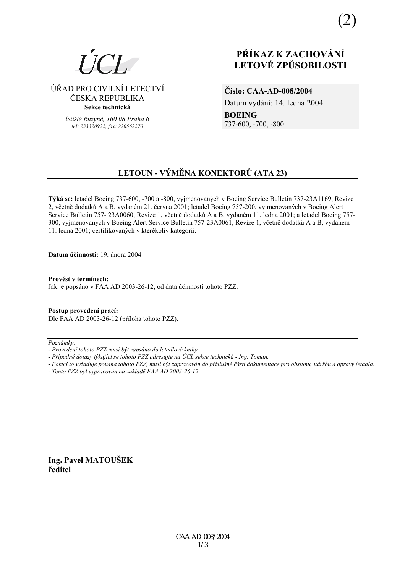

### ÚŘAD PRO CIVILNÍ LETECTVÍ ČESKÁ REPUBLIKA Sekce technická

letiště Ruzyně, 160 08 Praha 6 tel: 233320922. fax: 220562270

# PŘÍKAZ K ZACHOVÁNÍ **LETOVÉ ZPŮSOBILOSTI**

Číslo: CAA-AD-008/2004

Datum vydání: 14. ledna 2004 **BOEING** 737-600, -700, -800

## LETOUN - VÝMĚNA KONEKTORŮ (ATA 23)

Týká se: letadel Boeing 737-600, -700 a -800, vyimenovaných v Boeing Service Bulletin 737-23A1169, Revize 2, včetně dodatků A a B, vydaném 21. června 2001; letadel Boeing 757-200, vyjmenovaných v Boeing Alert Service Bulletin 757-23A0060, Revize 1, včetně dodatků A a B, vydaném 11. ledna 2001; a letadel Boeing 757-300, vyjmenovaných v Boeing Alert Service Bulletin 757-23A0061, Revize 1, včetně dodatků A a B, vydaném 11. ledna 2001; certifikovaných v kterékoliv kategorii.

Datum účinnosti: 19. února 2004

Provést v termínech: Jak je popsáno v FAA AD 2003-26-12, od data účinnosti tohoto PZZ.

Postup provedení prací: Dle FAA AD 2003-26-12 (příloha tohoto PZZ).

 $Poznámkv$ 

Ing. Pavel MATOUŠEK ředitel

<sup>-</sup> Provedení tohoto PZZ musí být zapsáno do letadlové knihy.

<sup>-</sup> Případné dotazy týkající se tohoto PZZ adresujte na ÚCL sekce technická - Ing. Toman.

<sup>-</sup> Pokud to vyžaduje povaha tohoto PZZ, musí být zapracován do příslušné části dokumentace pro obsluhu, údržbu a opravy letadla.

<sup>-</sup> Tento PZZ byl vypracován na základě FAA AD 2003-26-12.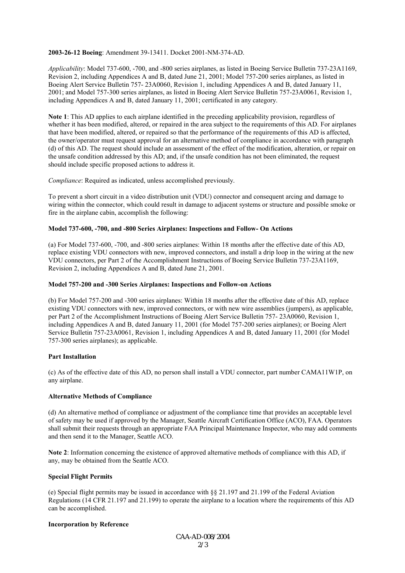#### **2003-26-12 Boeing**: Amendment 39-13411. Docket 2001-NM-374-AD.

*Applicability*: Model 737-600, -700, and -800 series airplanes, as listed in Boeing Service Bulletin 737-23A1169, Revision 2, including Appendices A and B, dated June 21, 2001; Model 757-200 series airplanes, as listed in Boeing Alert Service Bulletin 757- 23A0060, Revision 1, including Appendices A and B, dated January 11, 2001; and Model 757-300 series airplanes, as listed in Boeing Alert Service Bulletin 757-23A0061, Revision 1, including Appendices A and B, dated January 11, 2001; certificated in any category.

**Note 1**: This AD applies to each airplane identified in the preceding applicability provision, regardless of whether it has been modified, altered, or repaired in the area subject to the requirements of this AD. For airplanes that have been modified, altered, or repaired so that the performance of the requirements of this AD is affected, the owner/operator must request approval for an alternative method of compliance in accordance with paragraph (d) of this AD. The request should include an assessment of the effect of the modification, alteration, or repair on the unsafe condition addressed by this AD; and, if the unsafe condition has not been eliminated, the request should include specific proposed actions to address it.

*Compliance*: Required as indicated, unless accomplished previously.

To prevent a short circuit in a video distribution unit (VDU) connector and consequent arcing and damage to wiring within the connector, which could result in damage to adjacent systems or structure and possible smoke or fire in the airplane cabin, accomplish the following:

#### **Model 737-600, -700, and -800 Series Airplanes: Inspections and Follow- On Actions**

(a) For Model 737-600, -700, and -800 series airplanes: Within 18 months after the effective date of this AD, replace existing VDU connectors with new, improved connectors, and install a drip loop in the wiring at the new VDU connectors, per Part 2 of the Accomplishment Instructions of Boeing Service Bulletin 737-23A1169, Revision 2, including Appendices A and B, dated June 21, 2001.

#### **Model 757-200 and -300 Series Airplanes: Inspections and Follow-on Actions**

(b) For Model 757-200 and -300 series airplanes: Within 18 months after the effective date of this AD, replace existing VDU connectors with new, improved connectors, or with new wire assemblies (jumpers), as applicable, per Part 2 of the Accomplishment Instructions of Boeing Alert Service Bulletin 757- 23A0060, Revision 1, including Appendices A and B, dated January 11, 2001 (for Model 757-200 series airplanes); or Boeing Alert Service Bulletin 757-23A0061, Revision 1, including Appendices A and B, dated January 11, 2001 (for Model 757-300 series airplanes); as applicable.

#### **Part Installation**

(c) As of the effective date of this AD, no person shall install a VDU connector, part number CAMA11W1P, on any airplane.

#### **Alternative Methods of Compliance**

(d) An alternative method of compliance or adjustment of the compliance time that provides an acceptable level of safety may be used if approved by the Manager, Seattle Aircraft Certification Office (ACO), FAA. Operators shall submit their requests through an appropriate FAA Principal Maintenance Inspector, who may add comments and then send it to the Manager, Seattle ACO.

**Note 2**: Information concerning the existence of approved alternative methods of compliance with this AD, if any, may be obtained from the Seattle ACO.

#### **Special Flight Permits**

(e) Special flight permits may be issued in accordance with  $\S$ § 21.197 and 21.199 of the Federal Aviation Regulations (14 CFR 21.197 and 21.199) to operate the airplane to a location where the requirements of this AD can be accomplished.

#### **Incorporation by Reference**